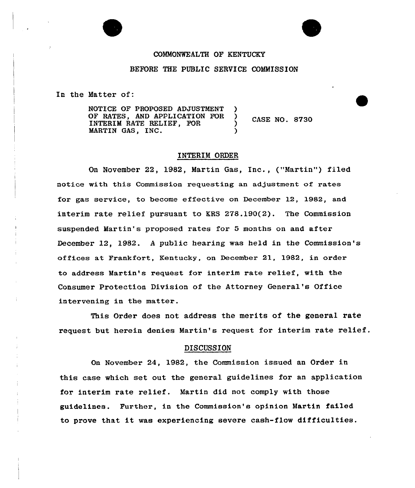# COMMONWEALTH OF KENTUCKY

### BEFORE THE PUBLIC SERVICE COMMISSION

In the Matter of:

NOTICE OF PROPOSED ADJUSTMENT )<br>OF RATES, AND APPLICATION FOR ) OF RATES, AND APPLICATION FOR INTERIM RATE RELIEF, FOR MARTIN GAS, INC.

CASE NO. 8730

# INTERIM ORDER

On November 22, 1982, Martin Gas, Inc., ("Martin") filed notice with this Commission requesting an adjustment of rates for gas service, to become effective on Decembex 12, 1982, and interim rate relief pursuant to KRS 278.190(2). The Commission suspended Martin's proposed rates for 5 months on and after December 12, 1982. <sup>A</sup> public hearing was held in the Commission's offices at Frankfort, Kentucky, on December 21, 1982, in order to address Martin's request for interim rate relief, with the Consumer Protection Division of the Attorney General's Office intervening in the matter.

This Order does not address the merits of the general rate request but herein denies Martin's request for interim rate

# **DISCUSSION**

On November 24, 1982, the Commission issued an Order in this case which set out the general guidelines for an application for interim rate relief. Martin did not comply with those guidelines. Further, in the Commission's opinion Martin failed to prove that it was experiencing severe cash-flow difficulties.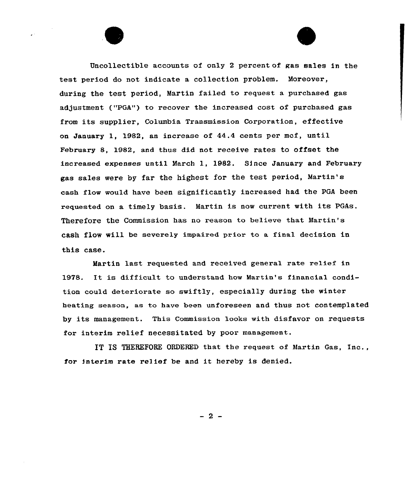Uncollectible accounts of only 2 percent of gas sales in the test period do not indicate a collection problem. Moreover, during the test period, Martin failed to request a purchased gas adjustment ("PGA") to recover the increased cost of purchased gas from its supplier, Columbia Transmission Corporation, effective on January 1, 1982, an increase of  $44.4$  cents per mcf, until February 8, 1982, and thus did not receive rates to offset the increased expenses until March 1, 1982. Since January and February gas sales mere by far the highest for the test period, Martin' cash flom mould have been significantly increased had, the PGA been requested on a timely basis. Martin is nom current with its PGAs. Therefore the Commission has no reason to believe that Martin' cash flow vill be severely impaired prior to a final decision in this case.

Martin last requested and received general rate relief in 1978. It is difficult to understand how Martin's financial condition cauld deteriorate so smiftly, especially during the winter heating season, as to have been unforeseen and thus not contemplated by its management. This Commission looks with disfavor on requests for interim relief necessitated by poor management.

IT IS THEHEPORE ORDERED that the request of Martin Gas, Inc., for interim rate relief be and it hereby is denied.

 $-2-$